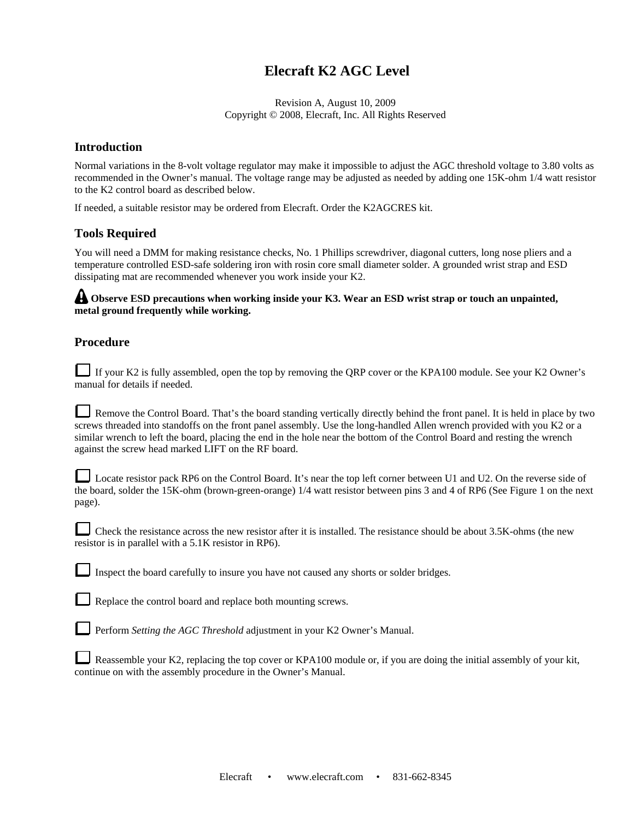## **Elecraft K2 AGC Level**

Revision A, August 10, 2009 Copyright © 2008, Elecraft, Inc. All Rights Reserved

## **Introduction**

Normal variations in the 8-volt voltage regulator may make it impossible to adjust the AGC threshold voltage to 3.80 volts as recommended in the Owner's manual. The voltage range may be adjusted as needed by adding one 15K-ohm 1/4 watt resistor to the K2 control board as described below.

If needed, a suitable resistor may be ordered from Elecraft. Order the K2AGCRES kit.

## **Tools Required**

You will need a DMM for making resistance checks, No. 1 Phillips screwdriver, diagonal cutters, long nose pliers and a temperature controlled ESD-safe soldering iron with rosin core small diameter solder. A grounded wrist strap and ESD dissipating mat are recommended whenever you work inside your K2.

**A** Observe ESD precautions when working inside your K3. Wear an ESD wrist strap or touch an unpainted, **metal ground frequently while working.** 

## **Procedure**

|  | If your K2 is fully assembled, open the top by removing the QRP cover or the KPA100 module. See your K2 Owner's |
|--|-----------------------------------------------------------------------------------------------------------------|
|  | manual for details if needed.                                                                                   |

Remove the Control Board. That's the board standing vertically directly behind the front panel. It is held in place by two screws threaded into standoffs on the front panel assembly. Use the long-handled Allen wrench provided with you K2 or a similar wrench to left the board, placing the end in the hole near the bottom of the Control Board and resting the wrench against the screw head marked LIFT on the RF board.

|        | Locate resistor pack RP6 on the Control Board. It's near the top left corner between U1 and U2. On the reverse side of     |
|--------|----------------------------------------------------------------------------------------------------------------------------|
|        | the board, solder the 15K-ohm (brown-green-orange) 1/4 watt resistor between pins 3 and 4 of RP6 (See Figure 1 on the next |
| page). |                                                                                                                            |

Check the resistance across the new resistor after it is installed. The resistance should be about 3.5K-ohms (the new resistor is in parallel with a 5.1K resistor in RP6).

Inspect the board carefully to insure you have not caused any shorts or solder bridges.

Replace the control board and replace both mounting screws.

Perform *Setting the AGC Threshold* adjustment in your K2 Owner's Manual.

| Reassemble your K2, replacing the top cover or KPA100 module or, if you are doing the initial assembly of your kit, |
|---------------------------------------------------------------------------------------------------------------------|
| continue on with the assembly procedure in the Owner's Manual.                                                      |